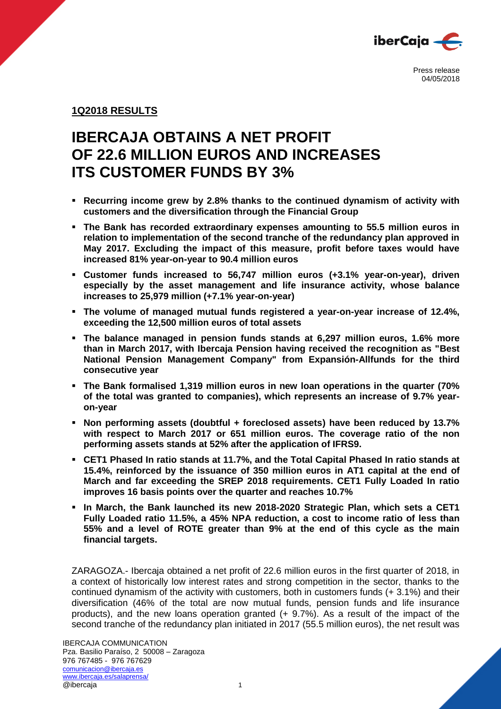

## **1Q2018 RESULTS**

# **IBERCAJA OBTAINS A NET PROFIT OF 22.6 MILLION EUROS AND INCREASES ITS CUSTOMER FUNDS BY 3%**

- **Recurring income grew by 2.8% thanks to the continued dynamism of activity with customers and the diversification through the Financial Group**
- **The Bank has recorded extraordinary expenses amounting to 55.5 million euros in relation to implementation of the second tranche of the redundancy plan approved in May 2017. Excluding the impact of this measure, profit before taxes would have increased 81% year-on-year to 90.4 million euros**
- **Customer funds increased to 56,747 million euros (+3.1% year-on-year), driven especially by the asset management and life insurance activity, whose balance increases to 25,979 million (+7.1% year-on-year)**
- **The volume of managed mutual funds registered a year-on-year increase of 12.4%, exceeding the 12,500 million euros of total assets**
- **The balance managed in pension funds stands at 6,297 million euros, 1.6% more than in March 2017, with Ibercaja Pension having received the recognition as "Best National Pension Management Company" from Expansión-Allfunds for the third consecutive year**
- **The Bank formalised 1,319 million euros in new loan operations in the quarter (70% of the total was granted to companies), which represents an increase of 9.7% yearon-year**
- **Non performing assets (doubtful + foreclosed assets) have been reduced by 13.7% with respect to March 2017 or 651 million euros. The coverage ratio of the non performing assets stands at 52% after the application of IFRS9.**
- **CET1 Phased In ratio stands at 11.7%, and the Total Capital Phased In ratio stands at 15.4%, reinforced by the issuance of 350 million euros in AT1 capital at the end of March and far exceeding the SREP 2018 requirements. CET1 Fully Loaded In ratio improves 16 basis points over the quarter and reaches 10.7%**
- **In March, the Bank launched its new 2018-2020 Strategic Plan, which sets a CET1 Fully Loaded ratio 11.5%, a 45% NPA reduction, a cost to income ratio of less than 55% and a level of ROTE greater than 9% at the end of this cycle as the main financial targets.**

ZARAGOZA.- Ibercaja obtained a net profit of 22.6 million euros in the first quarter of 2018, in a context of historically low interest rates and strong competition in the sector, thanks to the continued dynamism of the activity with customers, both in customers funds (+ 3.1%) and their diversification (46% of the total are now mutual funds, pension funds and life insurance products), and the new loans operation granted (+ 9.7%). As a result of the impact of the second tranche of the redundancy plan initiated in 2017 (55.5 million euros), the net result was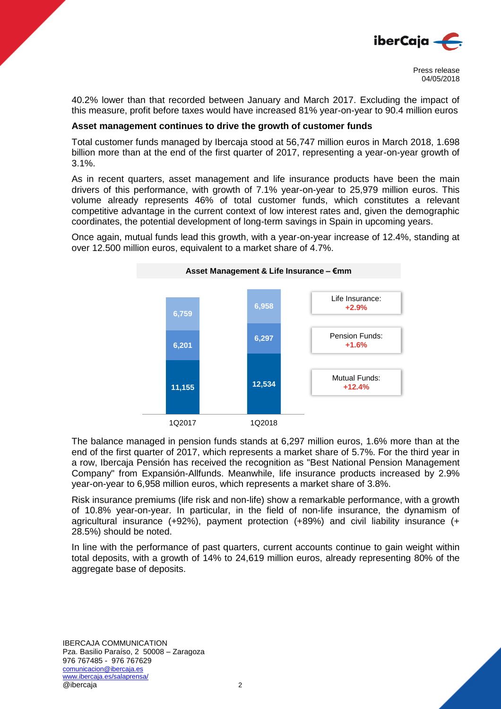

40.2% lower than that recorded between January and March 2017. Excluding the impact of this measure, profit before taxes would have increased 81% year-on-year to 90.4 million euros

### **Asset management continues to drive the growth of customer funds**

Total customer funds managed by Ibercaja stood at 56,747 million euros in March 2018, 1.698 billion more than at the end of the first quarter of 2017, representing a year-on-year growth of 3.1%.

As in recent quarters, asset management and life insurance products have been the main drivers of this performance, with growth of 7.1% year-on-year to 25,979 million euros. This volume already represents 46% of total customer funds, which constitutes a relevant competitive advantage in the current context of low interest rates and, given the demographic coordinates, the potential development of long-term savings in Spain in upcoming years.

Once again, mutual funds lead this growth, with a year-on-year increase of 12.4%, standing at over 12.500 million euros, equivalent to a market share of 4.7%.



The balance managed in pension funds stands at 6,297 million euros, 1.6% more than at the end of the first quarter of 2017, which represents a market share of 5.7%. For the third year in a row, Ibercaja Pensión has received the recognition as "Best National Pension Management Company" from Expansión-Allfunds. Meanwhile, life insurance products increased by 2.9% year-on-year to 6,958 million euros, which represents a market share of 3.8%.

Risk insurance premiums (life risk and non-life) show a remarkable performance, with a growth of 10.8% year-on-year. In particular, in the field of non-life insurance, the dynamism of agricultural insurance (+92%), payment protection (+89%) and civil liability insurance (+ 28.5%) should be noted.

In line with the performance of past quarters, current accounts continue to gain weight within total deposits, with a growth of 14% to 24,619 million euros, already representing 80% of the aggregate base of deposits.

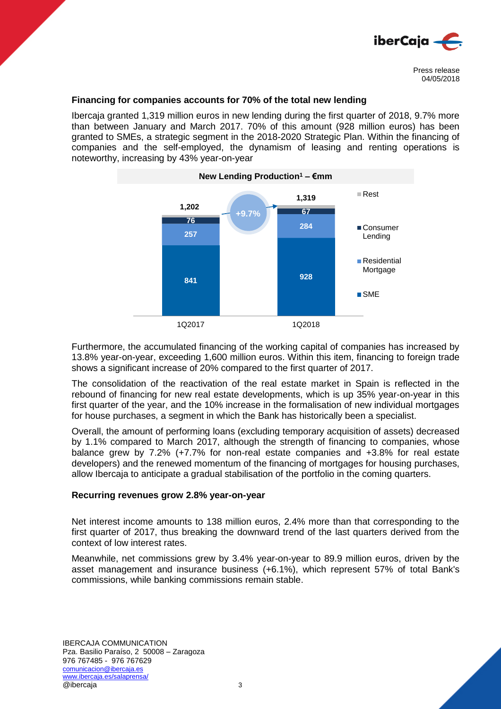

### **Financing for companies accounts for 70% of the total new lending**

Ibercaja granted 1,319 million euros in new lending during the first quarter of 2018, 9.7% more than between January and March 2017. 70% of this amount (928 million euros) has been granted to SMEs, a strategic segment in the 2018-2020 Strategic Plan. Within the financing of companies and the self-employed, the dynamism of leasing and renting operations is noteworthy, increasing by 43% year-on-year



Furthermore, the accumulated financing of the working capital of companies has increased by 13.8% year-on-year, exceeding 1,600 million euros. Within this item, financing to foreign trade shows a significant increase of 20% compared to the first quarter of 2017.

The consolidation of the reactivation of the real estate market in Spain is reflected in the rebound of financing for new real estate developments, which is up 35% year-on-year in this first quarter of the year, and the 10% increase in the formalisation of new individual mortgages for house purchases, a segment in which the Bank has historically been a specialist.

Overall, the amount of performing loans (excluding temporary acquisition of assets) decreased by 1.1% compared to March 2017, although the strength of financing to companies, whose balance grew by 7.2% (+7.7% for non-real estate companies and +3.8% for real estate developers) and the renewed momentum of the financing of mortgages for housing purchases, allow Ibercaja to anticipate a gradual stabilisation of the portfolio in the coming quarters.

#### **Recurring revenues grow 2.8% year-on-year**

Net interest income amounts to 138 million euros, 2.4% more than that corresponding to the first quarter of 2017, thus breaking the downward trend of the last quarters derived from the context of low interest rates.

Meanwhile, net commissions grew by 3.4% year-on-year to 89.9 million euros, driven by the asset management and insurance business (+6.1%), which represent 57% of total Bank's commissions, while banking commissions remain stable.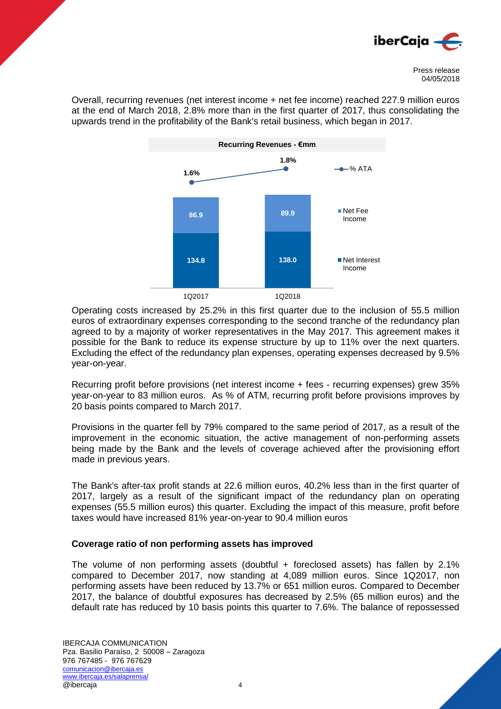

Overall, recurring revenues (net interest income + net fee income) reached 227.9 million euros at the end of March 2018, 2.8% more than in the first quarter of 2017, thus consolidating the upwards trend in the profitability of the Bank's retail business, which began in 2017.



Operating costs increased by 25.2% in this first quarter due to the inclusion of 55.5 million euros of extraordinary expenses corresponding to the second tranche of the redundancy plan agreed to by a majority of worker representatives in the May 2017. This agreement makes it possible for the Bank to reduce its expense structure by up to 11% over the next quarters. Excluding the effect of the redundancy plan expenses, operating expenses decreased by 9.5% year-on-year.

Recurring profit before provisions (net interest income + fees - recurring expenses) grew 35% year-on-year to 83 million euros. As % of ATM, recurring profit before provisions improves by 20 basis points compared to March 2017.

Provisions in the quarter fell by 79% compared to the same period of 2017, as a result of the improvement in the economic situation, the active management of non-performing assets being made by the Bank and the levels of coverage achieved after the provisioning effort made in previous years.

The Bank's after-tax profit stands at 22.6 million euros, 40.2% less than in the first quarter of 2017, largely as a result of the significant impact of the redundancy plan on operating expenses (55.5 million euros) this quarter. Excluding the impact of this measure, profit before taxes would have increased 81% year-on-year to 90.4 million euros

## **Coverage ratio of non performing assets has improved**

The volume of non performing assets (doubtful + foreclosed assets) has fallen by 2.1% compared to December 2017, now standing at 4,089 million euros. Since 1Q2017, non performing assets have been reduced by 13.7% or 651 million euros. Compared to December 2017, the balance of doubtful exposures has decreased by 2.5% (65 million euros) and the default rate has reduced by 10 basis points this quarter to 7.6%. The balance of repossessed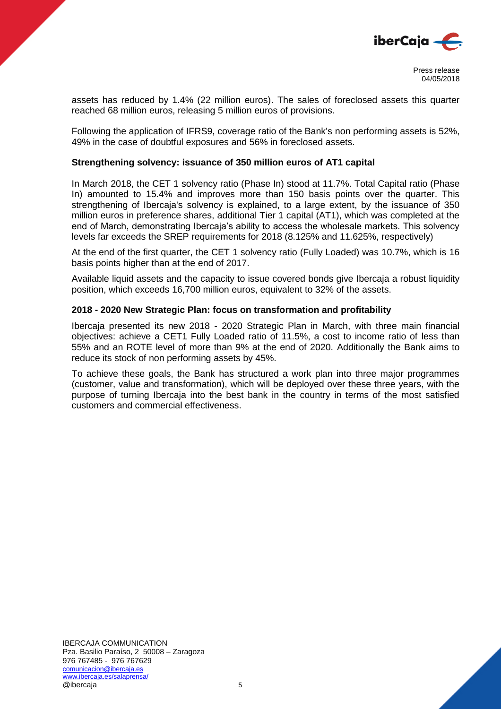

assets has reduced by 1.4% (22 million euros). The sales of foreclosed assets this quarter reached 68 million euros, releasing 5 million euros of provisions.

Following the application of IFRS9, coverage ratio of the Bank's non performing assets is 52%, 49% in the case of doubtful exposures and 56% in foreclosed assets.

## **Strengthening solvency: issuance of 350 million euros of AT1 capital**

In March 2018, the CET 1 solvency ratio (Phase In) stood at 11.7%. Total Capital ratio (Phase In) amounted to 15.4% and improves more than 150 basis points over the quarter. This strengthening of Ibercaja's solvency is explained, to a large extent, by the issuance of 350 million euros in preference shares, additional Tier 1 capital (AT1), which was completed at the end of March, demonstrating Ibercaja's ability to access the wholesale markets. This solvency levels far exceeds the SREP requirements for 2018 (8.125% and 11.625%, respectively)

At the end of the first quarter, the CET 1 solvency ratio (Fully Loaded) was 10.7%, which is 16 basis points higher than at the end of 2017.

Available liquid assets and the capacity to issue covered bonds give Ibercaja a robust liquidity position, which exceeds 16,700 million euros, equivalent to 32% of the assets.

## **2018 - 2020 New Strategic Plan: focus on transformation and profitability**

Ibercaja presented its new 2018 - 2020 Strategic Plan in March, with three main financial objectives: achieve a CET1 Fully Loaded ratio of 11.5%, a cost to income ratio of less than 55% and an ROTE level of more than 9% at the end of 2020. Additionally the Bank aims to reduce its stock of non performing assets by 45%.

To achieve these goals, the Bank has structured a work plan into three major programmes (customer, value and transformation), which will be deployed over these three years, with the purpose of turning Ibercaja into the best bank in the country in terms of the most satisfied customers and commercial effectiveness.